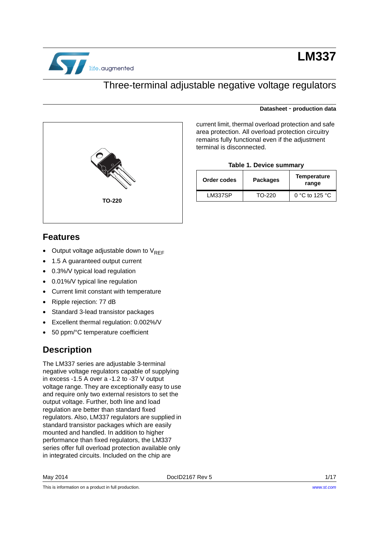

# **LM337**

**Datasheet** - **production data**

### Three-terminal adjustable negative voltage regulators



### **Features**

- Output voltage adjustable down to  $V_{REF}$
- 1.5 A guaranteed output current
- 0.3%/V typical load regulation
- 0.01%/V typical line regulation
- Current limit constant with temperature
- Ripple rejection: 77 dB
- Standard 3-lead transistor packages
- Excellent thermal regulation: 0.002%/V
- 50 ppm/°C temperature coefficient

### **Description**

The LM337 series are adjustable 3-terminal negative voltage regulators capable of supplying in excess -1.5 A over a -1.2 to -37 V output voltage range. They are exceptionally easy to use and require only two external resistors to set the output voltage. Further, both line and load regulation are better than standard fixed regulators. Also, LM337 regulators are supplied in standard transistor packages which are easily mounted and handled. In addition to higher performance than fixed regulators, the LM337 series offer full overload protection available only in integrated circuits. Included on the chip are

This is information on a product in full production.

current limit, thermal overload protection and safe area protection. All overload protection circuitry remains fully functional even if the adjustment terminal is disconnected.

#### **Table 1. Device summary**

<span id="page-0-0"></span>

| Order codes | <b>Packages</b> | <b>Temperature</b><br>range |
|-------------|-----------------|-----------------------------|
| LM337SP     | TO-220          | 0 °C to 125 °C              |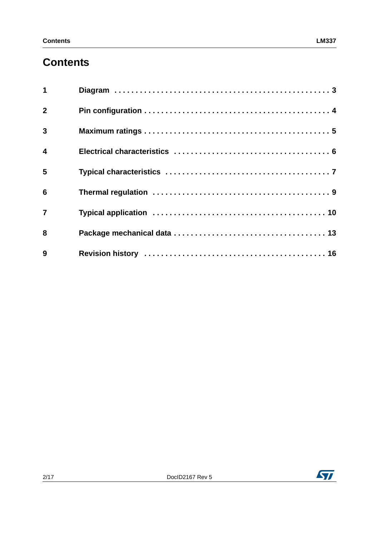# **Contents**

| $\mathbf{1}$            |  |
|-------------------------|--|
| $\overline{2}$          |  |
| $\overline{3}$          |  |
| $\overline{\mathbf{4}}$ |  |
| 5                       |  |
| $6\phantom{1}6$         |  |
| $\overline{7}$          |  |
| 8                       |  |
| 9                       |  |

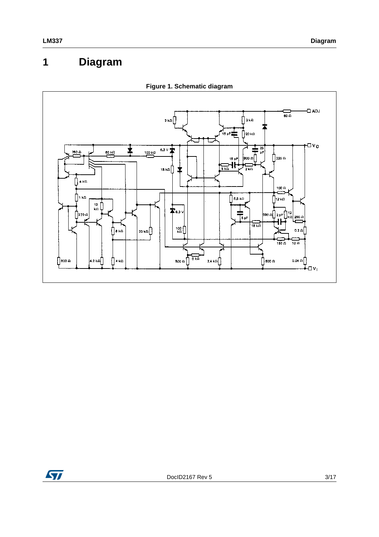# <span id="page-2-0"></span>**1 Diagram**

<span id="page-2-1"></span>

**Figure 1. Schematic diagram**

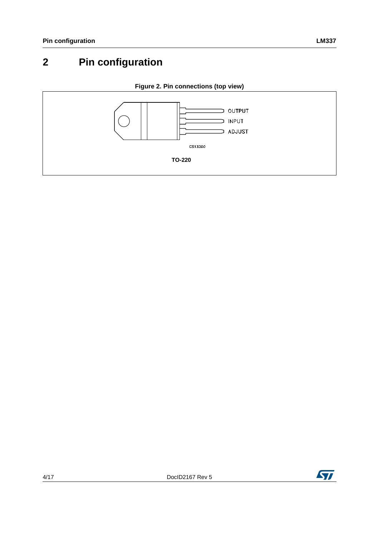# <span id="page-3-0"></span>**2 Pin configuration**

<span id="page-3-1"></span>

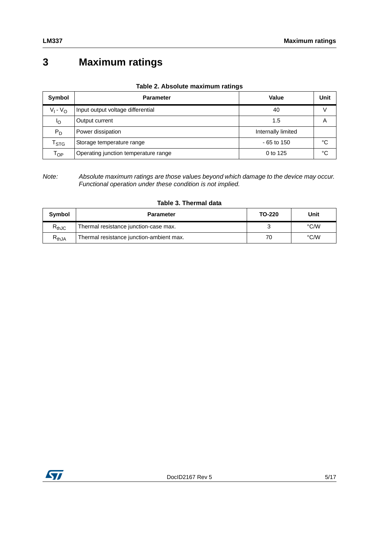# <span id="page-4-0"></span>**3 Maximum ratings**

|  |  | Table 2. Absolute maximum ratings |  |
|--|--|-----------------------------------|--|
|--|--|-----------------------------------|--|

| Symbol                      | <b>Parameter</b>                     | Value              | Unit |
|-----------------------------|--------------------------------------|--------------------|------|
| $V_1 - V_{\Omega}$          | Input output voltage differential    | 40                 |      |
| ΙO                          | Output current                       | 1.5                | A    |
| $P_D$                       | Power dissipation                    | Internally limited |      |
| $\mathsf{r}_{\texttt{STG}}$ | Storage temperature range            | $-65$ to 150       | °C   |
| $\mathsf{T}_{\mathsf{OP}}$  | Operating junction temperature range | 0 to 125           | °C   |

*Note: Absolute maximum ratings are those values beyond which damage to the device may occur. Functional operation under these condition is not implied.*

|  |  |  | Table 3. Thermal data |  |
|--|--|--|-----------------------|--|
|--|--|--|-----------------------|--|

| Symbol                       | <b>Parameter</b>                         | TO-220 | Unit |
|------------------------------|------------------------------------------|--------|------|
| $\mathsf{R}_{\mathsf{thJC}}$ | Thermal resistance junction-case max.    |        | °C/W |
| $R_{thJA}$                   | Thermal resistance junction-ambient max. | 70     | °C/W |

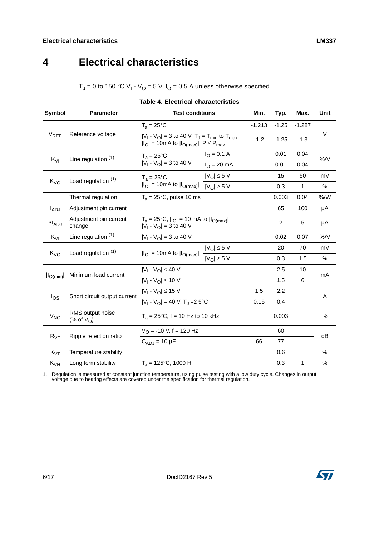# <span id="page-5-0"></span>**4 Electrical characteristics**

 $T_J$  = 0 to 150 °C V<sub>I</sub> - V<sub>O</sub> = 5 V, I<sub>O</sub> = 0.5 A unless otherwise specified.

| <b>Symbol</b>    | <b>Parameter</b>                                                             | <b>Test conditions</b>                                                                                                                                                         |                              | Min.     | Typ.           | Max.     | <b>Unit</b> |
|------------------|------------------------------------------------------------------------------|--------------------------------------------------------------------------------------------------------------------------------------------------------------------------------|------------------------------|----------|----------------|----------|-------------|
|                  |                                                                              | $T_a = 25^{\circ}C$<br>$ V_1 - V_{\Omega}  = 3$ to 40 V, T <sub>J</sub> = T <sub>min</sub> to T <sub>max</sub><br>$ I_O $ = 10mA to $ I_{O(max)} $ , P $\leq$ P <sub>max</sub> |                              | $-1.213$ | $-1.25$        | $-1.287$ |             |
| $V_{REF}$        | Reference voltage                                                            |                                                                                                                                                                                |                              | $-1.2$   | $-1.25$        | $-1.3$   | $\vee$      |
|                  |                                                                              | $T_a = 25^{\circ}C$                                                                                                                                                            | $I_{\odot} = 0.1 A$          |          | 0.01           | 0.04     |             |
|                  | Line regulation (1)<br>$K_{VI}$                                              | $ V_1 - V_0  = 3$ to 40 V                                                                                                                                                      | $I_{\Omega} = 20 \text{ mA}$ |          | 0.01           | 0.04     | %/V         |
|                  | Load regulation (1)                                                          | $T_a = 25^{\circ}C$                                                                                                                                                            | $ V_O  \leq 5 V$             |          | 15             | 50       | mV          |
| $K_{VO}$         |                                                                              | $\overline{I _{\text{O}}}$ = 10mA to $\overline{I _{\text{O(max)}}}$                                                                                                           | $ V_O  \geq 5 V$             |          | 0.3            | 1        | $\%$        |
|                  | Thermal regulation                                                           | $T_a = 25^{\circ}$ C, pulse 10 ms                                                                                                                                              |                              |          | 0.003          | 0.04     | % /W        |
| $I_{ADJ}$        | Adjustment pin current                                                       |                                                                                                                                                                                |                              |          | 65             | 100      | μA          |
| $\Delta I_{ADJ}$ | Adjustment pin current<br>change                                             | $T_a = 25^{\circ}C$ , $ I_O  = 10$ mA to $ I_{O(max)} $<br>$ V_1 - V_0  = 3$ to 40 V                                                                                           |                              |          | $\overline{c}$ | 5        | μA          |
| $K_{VI}$         | Line regulation (1)                                                          | $ V_1 - V_0  = 3$ to 40 V                                                                                                                                                      |                              |          | 0.02           | 0.07     | $%$ /V      |
|                  | Load regulation (1)<br>$K_{VO}$                                              | $ V_{\text{O}}  \leq 5$ V<br>$ I_O $ = 10mA to $ I_{O(max)} $<br>$ V_O  \geq 5$ V                                                                                              |                              |          | 20             | 70       | mV          |
|                  |                                                                              |                                                                                                                                                                                |                              | 0.3      | 1.5            | %        |             |
|                  |                                                                              | $ V_1 - V_0  \le 40 V$                                                                                                                                                         |                              |          | 2.5            | 10       |             |
| $ I_{O(min)} $   | Minimum load current                                                         | $ V_1 - V_0  \le 10 V$                                                                                                                                                         |                              |          | 1.5            | 6        | mA          |
|                  |                                                                              | $ V_1 - V_0  \le 15 V$                                                                                                                                                         |                              | 1.5      | 2.2            |          |             |
| $I_{OS}$         | Short circuit output current<br>$ V_1 - V_0  = 40 V$ , T <sub>1</sub> =2 5°C |                                                                                                                                                                                |                              | 0.15     | 0.4            |          | Α           |
| V <sub>NO</sub>  | RMS output noise<br>$(\% \text{ of } V_{\Omega})$                            | $T_a = 25^{\circ}$ C, f = 10 Hz to 10 kHz                                                                                                                                      |                              |          | 0.003          |          | $\%$        |
|                  | Ripple rejection ratio<br>$R_{VF}$                                           | $V_O$ = -10 V, f = 120 Hz                                                                                                                                                      |                              |          | 60             |          |             |
|                  |                                                                              | $C_{ADJ}$ = 10 µF                                                                                                                                                              |                              | 66       | 77             |          | dB          |
| $K_{\text{VT}}$  | Temperature stability                                                        |                                                                                                                                                                                |                              |          | 0.6            |          | $\%$        |
| $K_{VH}$         | Long term stability                                                          | $T_a = 125$ °C, 1000 H                                                                                                                                                         |                              |          | 0.3            | 1        | $\%$        |

| <b>Table 4. Electrical characteristics</b> |  |
|--------------------------------------------|--|
|--------------------------------------------|--|

1. Regulation is measured at constant junction temperature, using pulse testing with a low duty cycle. Changes in output voltage due to heating effects are covered under the specification for thermal regulation.

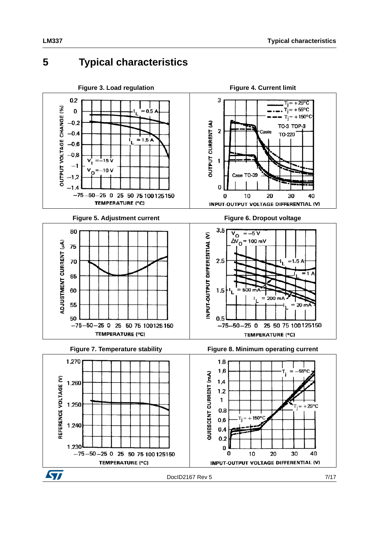### <span id="page-6-0"></span>**5 Typical characteristics**

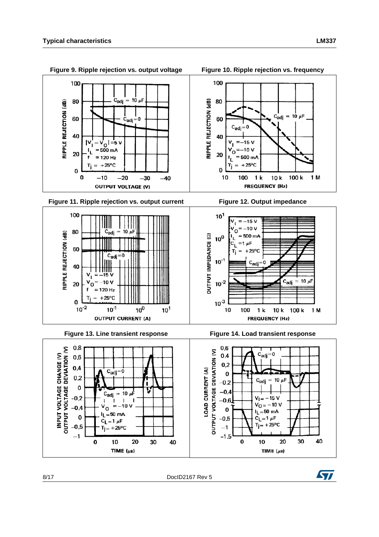

**Figure 11. Ripple rejection vs. output current Figure 12. Output impedance** 





**FREQUENCY (Hz)** 

 $10k$ 

 $1<sub>k</sub>$ 



**Figure 13. Line transient response Figure 14. Load transient response**



**Figure 9. Ripple rejection vs. output voltage Figure 10. Ripple rejection vs. frequency**

 $= 0$  $c_{\text{adj}}$ 

 $=-15V$ 

 $= -10 V$ O

 $= 500 \text{ mA}$ 

100

 $+25^{\circ}$ C

 $C_{\text{adj}} = 10 \mu F$ 

100 k

1 M

100

80

60

40

20

v

Т 0

10

RIPPLE REJECTION (dB)

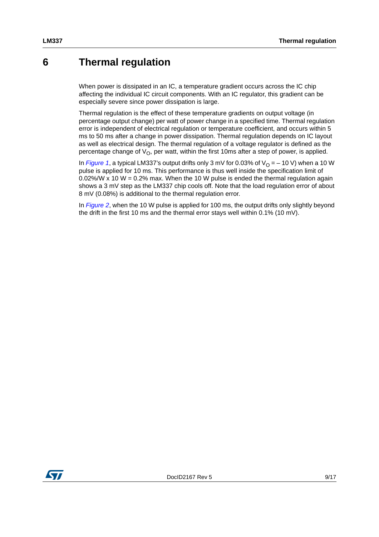### <span id="page-8-0"></span>**6 Thermal regulation**

When power is dissipated in an IC, a temperature gradient occurs across the IC chip affecting the individual IC circuit components. With an IC regulator, this gradient can be especially severe since power dissipation is large.

Thermal regulation is the effect of these temperature gradients on output voltage (in percentage output change) per watt of power change in a specified time. Thermal regulation error is independent of electrical regulation or temperature coefficient, and occurs within 5 ms to 50 ms after a change in power dissipation. Thermal regulation depends on IC layout as well as electrical design. The thermal regulation of a voltage regulator is defined as the percentage change of  $V_{\Omega}$ , per watt, within the first 10ms after a step of power, is applied.

In *[Figure 1](#page-2-1)*, a typical LM337's output drifts only 3 mV for 0.03% of  $V<sub>O</sub> = -10 V$ ) when a 10 W pulse is applied for 10 ms. This performance is thus well inside the specification limit of  $0.02\%/W \times 10 W = 0.2\%$  max. When the 10 W pulse is ended the thermal regulation again shows a 3 mV step as the LM337 chip cools off. Note that the load regulation error of about 8 mV (0.08%) is additional to the thermal regulation error.

In *[Figure 2](#page-3-1)*, when the 10 W pulse is applied for 100 ms, the output drifts only slightly beyond the drift in the first 10 ms and the thermal error stays well within 0.1% (10 mV).

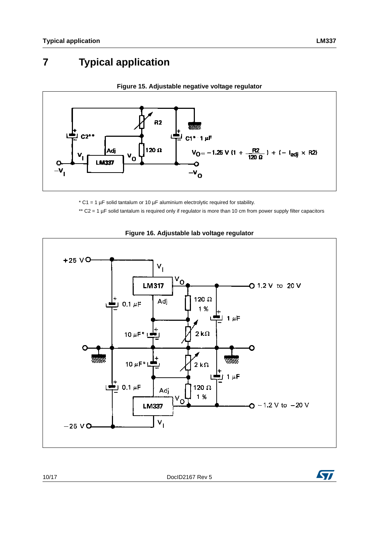# <span id="page-9-0"></span>**7 Typical application**



#### **Figure 15. Adjustable negative voltage regulator**

 $*$  C1 = 1 µF solid tantalum or 10 µF aluminium electrolytic required for stability.

\*\* C2 = 1 µF solid tantalum is required only if regulator is more than 10 cm from power supply filter capacitors



#### **Figure 16. Adjustable lab voltage regulator**

10/17 DocID2167 Rev 5

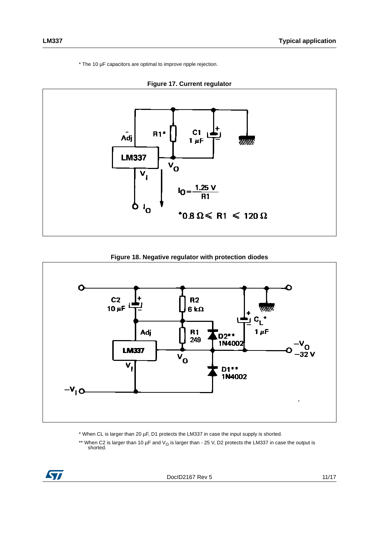\* The 10 µF capacitors are optimal to improve ripple rejection.



#### **Figure 18. Negative regulator with protection diodes**



- \* When CL is larger than 20 µF, D1 protects the LM337 in case the input supply is shorted.
- \*\* When C2 is larger than 10 µF and V<sub>O</sub> is larger than 25 V, D2 protects the LM337 in case the output is shorted.

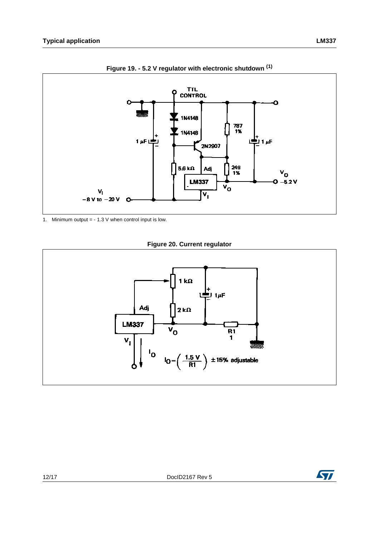

**Figure 19. - 5.2 V regulator with electronic shutdown (1)**

1. Minimum output =  $-1.3$  V when control input is low.

**Figure 20. Current regulator**



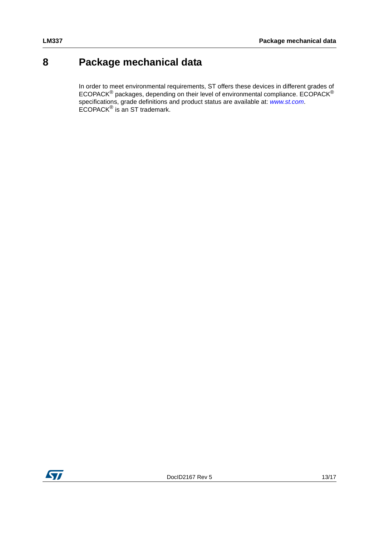## <span id="page-12-0"></span>**8 Package mechanical data**

In order to meet environmental requirements, ST offers these devices in different grades of ECOPACK $^{\circledR}$  packages, depending on their level of environmental compliance. ECOPACK $^{\circledR}$ specifications, grade definitions and product status are available at: *[www.st.com](http://www.st.com)*. ECOPACK® is an ST trademark.

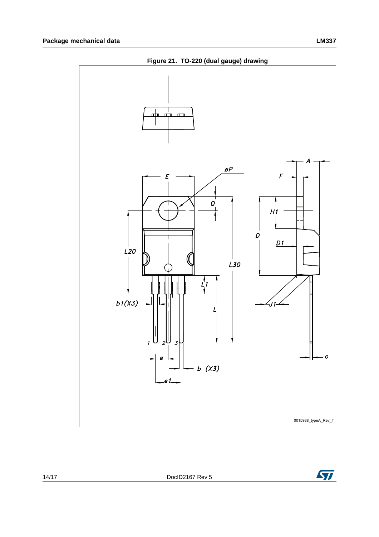



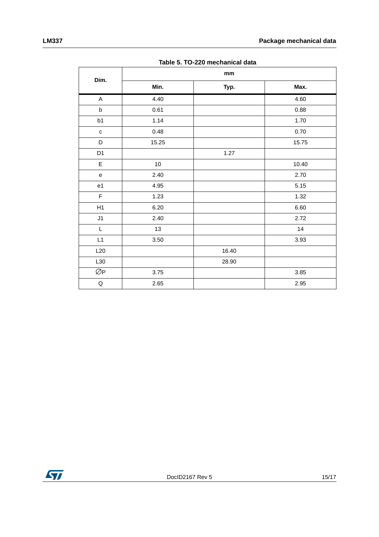|                |       | Table 5. TO-220 mechanical data |       |
|----------------|-------|---------------------------------|-------|
|                |       | mm                              |       |
| Dim.           | Min.  | Typ.                            | Max.  |
| $\mathsf{A}$   | 4.40  |                                 | 4.60  |
| $\sf b$        | 0.61  |                                 | 0.88  |
| b1             | 1.14  |                                 | 1.70  |
| $\mathbf c$    | 0.48  |                                 | 0.70  |
| D              | 15.25 |                                 | 15.75 |
| D <sub>1</sub> |       | 1.27                            |       |
| E              | 10    |                                 | 10.40 |
| e              | 2.40  |                                 | 2.70  |
| e1             | 4.95  |                                 | 5.15  |
| $\mathsf F$    | 1.23  |                                 | 1.32  |
| H1             | 6.20  |                                 | 6.60  |
| J1             | 2.40  |                                 | 2.72  |
| L              | 13    |                                 | 14    |
| L1             | 3.50  |                                 | 3.93  |
| L20            |       | 16.40                           |       |
| L30            |       | 28.90                           |       |
| ØP             | 3.75  |                                 | 3.85  |

Q | 2.65 | 2.95

**Table 5. TO-220 mechanical data**

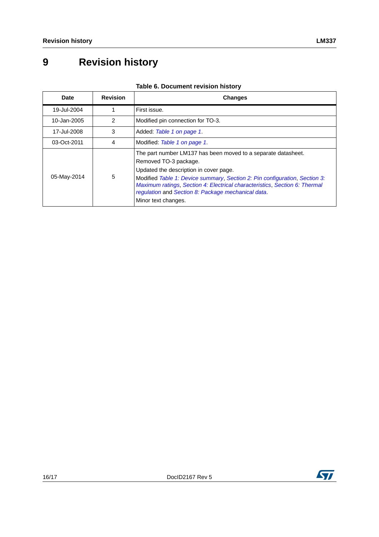# <span id="page-15-0"></span>**9 Revision history**

| Table 6. Document revision history |
|------------------------------------|
|------------------------------------|

| Date        | <b>Revision</b> | <b>Changes</b>                                                                                                                                                                                                                                                                                                                                                            |
|-------------|-----------------|---------------------------------------------------------------------------------------------------------------------------------------------------------------------------------------------------------------------------------------------------------------------------------------------------------------------------------------------------------------------------|
| 19-Jul-2004 |                 | First issue.                                                                                                                                                                                                                                                                                                                                                              |
| 10-Jan-2005 | 2               | Modified pin connection for TO-3.                                                                                                                                                                                                                                                                                                                                         |
| 17-Jul-2008 | 3               | Added: Table 1 on page 1.                                                                                                                                                                                                                                                                                                                                                 |
| 03-Oct-2011 | 4               | Modified: Table 1 on page 1.                                                                                                                                                                                                                                                                                                                                              |
| 05-May-2014 | 5               | The part number LM137 has been moved to a separate datasheet.<br>Removed TO-3 package.<br>Updated the description in cover page.<br>Modified Table 1: Device summary, Section 2: Pin configuration, Section 3:<br>Maximum ratings, Section 4: Electrical characteristics, Section 6: Thermal<br>regulation and Section 8: Package mechanical data.<br>Minor text changes. |



ST